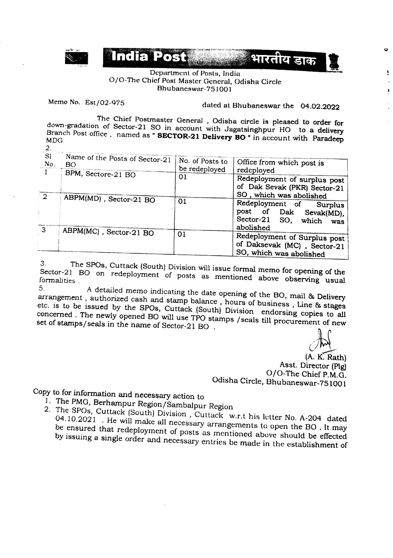

## Department of Posts, India O/O-The Chief Post Master General, Odisha Circle Bhubaneswar-751001

Memo No. Est/02-975

dated at Bhubaneswar the 04.02.2022

The Chief Postmaster General, Odisha circle is pleased to order for down-gradation of Sector-21 SO in account with Jagatsinghpur HO to a delivery Branch Post office, named as "SECTOR-21 Delivery BO " in account with Paradeep  $2.$ 

| SI<br>No.      | Name of the Posts of Sector-21<br>BO. | No. of Posts to<br>be redeployed | Office from which post is    |
|----------------|---------------------------------------|----------------------------------|------------------------------|
| $\pm 1$        | BPM, Sectore-21 BO                    |                                  | redeployed                   |
|                |                                       | 01                               | Redeployment of surplus post |
|                |                                       |                                  | of Dak Sevak (PKR) Sector-21 |
| $\overline{2}$ | ABPM(MD), Sector-21 BO                |                                  | SO, which was abolished      |
|                |                                       | 01                               | Redeployment of Surplus      |
|                |                                       |                                  | post of Dak<br>Sevak(MD),    |
|                |                                       |                                  | Sector-21 SO, which          |
|                |                                       |                                  | was<br>abolished             |
| 3              | ABPM(MC), Sector-21 BO                | 01                               |                              |
|                |                                       |                                  | Redeployment of Surplus post |
|                |                                       |                                  | of Daksevak (MC), Sector-21  |
|                |                                       |                                  | SO, which was abolished      |

The SPOs, Cuttack (South) Division will issue formal memo for opening of the  $3.$ Sector-21 BO on redeployment of posts as mentioned above observing usual formalities. 5.

A detailed memo indicating the date opening of the BO, mail & Delivery arrangement, authorized cash and stamp balance, hours of business, Line & stages etc. is to be issued by the SPOs, Cuttack (South) Division endorsing copies to all concerned. The newly opened BO will use TPO stamps / seals till procurement of new set of stamps/seals in the name of Sector-21 BO.

 $\mathbf{o}$ 

ă

 $\lambda$ 

(A. K. Rath) Asst. Director (Plg) O/O-The Chief P.M.G. Odisha Circle, Bhubaneswar-751001

Copy to for information and necessary action to

- 1. The PMG, Berhampur Region/Sambalpur Region
- 2. The SPOs, Cuttack (South) Division, Cuttack w.r.t his letter No. A-204 dated 04.10.2021 . He will make all necessary arrangements to open the BO. It may be ensured that redeployment of posts as mentioned above should be effected by issuing a single order and necessary entries be made in the establishment of